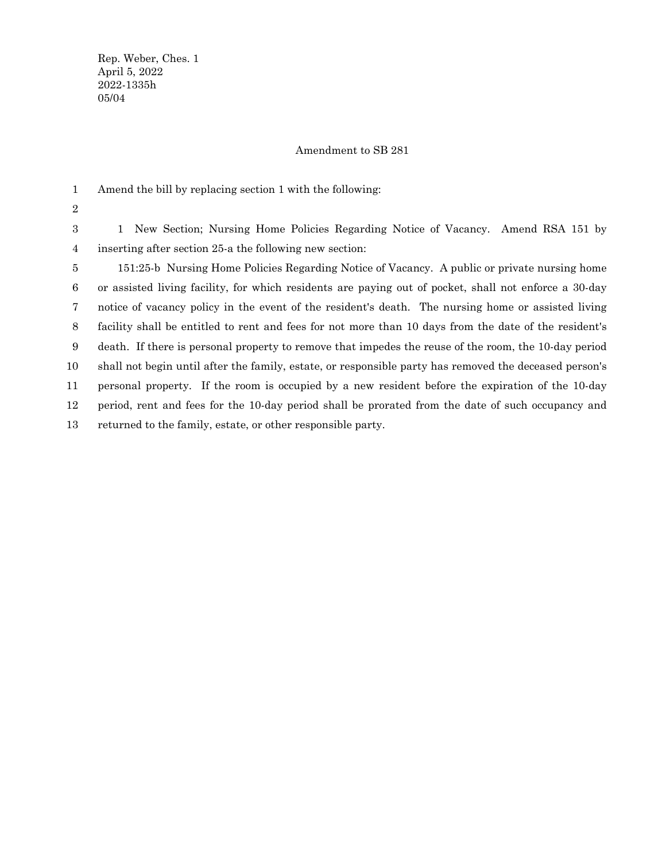Rep. Weber, Ches. 1 April 5, 2022 2022-1335h 05/04

## Amendment to SB 281

Amend the bill by replacing section 1 with the following: 1

2

1 New Section; Nursing Home Policies Regarding Notice of Vacancy. Amend RSA 151 by inserting after section 25-a the following new section: 3 4

151:25-b Nursing Home Policies Regarding Notice of Vacancy. A public or private nursing home or assisted living facility, for which residents are paying out of pocket, shall not enforce a 30-day notice of vacancy policy in the event of the resident's death. The nursing home or assisted living facility shall be entitled to rent and fees for not more than 10 days from the date of the resident's death. If there is personal property to remove that impedes the reuse of the room, the 10-day period shall not begin until after the family, estate, or responsible party has removed the deceased person's personal property. If the room is occupied by a new resident before the expiration of the 10-day period, rent and fees for the 10-day period shall be prorated from the date of such occupancy and returned to the family, estate, or other responsible party. 5 6 7 8 9 10 11 12 13